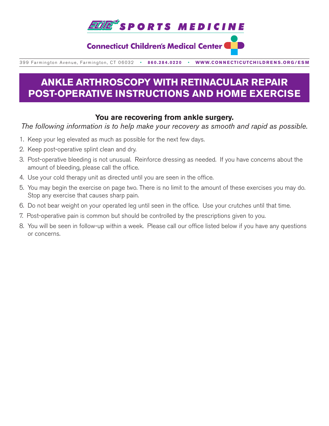

## **Connecticut Children's Medical Center (**

399 Farmington Avenue, Farmington, CT 06032•**860.284.0220**•**WWW.CONNECTICUTCHILDRENS.ORG/ESM**

# **ANKLE ARTHROSCOPY WITH RETINACULAR REPAIR POST-OPERATIVE INSTRUCTIONS AND HOME EXERCISE**

### **You are recovering from ankle surgery.**

*The following information is to help make your recovery as smooth and rapid as possible.*

- 1. Keep your leg elevated as much as possible for the next few days.
- 2. Keep post-operative splint clean and dry.
- 3. Post-operative bleeding is not unusual. Reinforce dressing as needed. If you have concerns about the amount of bleeding, please call the office.
- 4. Use your cold therapy unit as directed until you are seen in the office.
- 5. You may begin the exercise on page two. There is no limit to the amount of these exercises you may do. Stop any exercise that causes sharp pain.
- 6. Do not bear weight on your operated leg until seen in the office. Use your crutches until that time.
- 7. Post-operative pain is common but should be controlled by the prescriptions given to you.
- 8. You will be seen in follow-up within a week. Please call our office listed below if you have any questions or concerns.